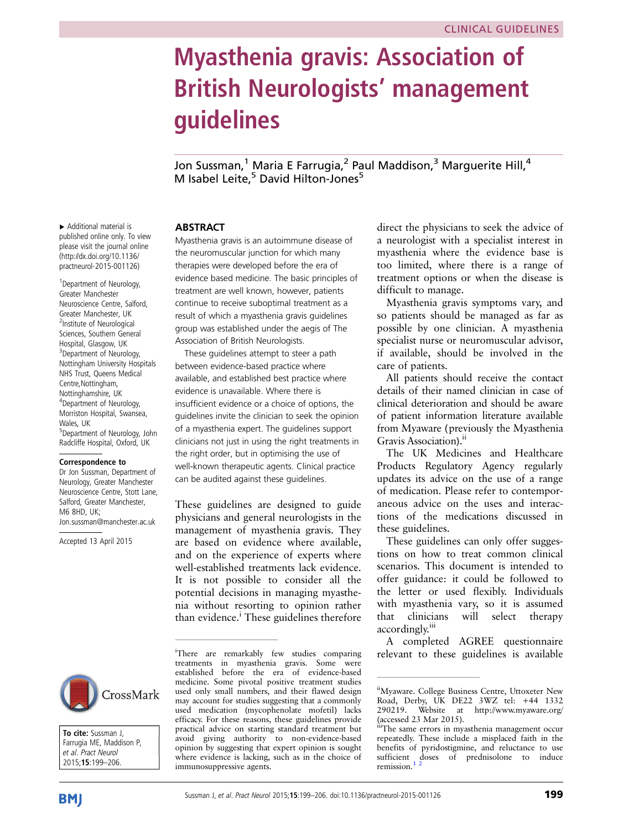# Myasthenia gravis: Association of British Neurologists' management guidelines

Jon Sussman,<sup>1</sup> Maria E Farrugia,<sup>2</sup> Paul Maddison,<sup>3</sup> Marguerite Hill,<sup>4</sup> M Isabel Leite. $5$  David Hilton-Jones<sup>5</sup>

#### **ABSTRACT**

Myasthenia gravis is an autoimmune disease of the neuromuscular junction for which many therapies were developed before the era of evidence based medicine. The basic principles of treatment are well known, however, patients continue to receive suboptimal treatment as a result of which a myasthenia gravis guidelines group was established under the aegis of The Association of British Neurologists.

These guidelines attempt to steer a path between evidence-based practice where available, and established best practice where evidence is unavailable. Where there is insufficient evidence or a choice of options, the guidelines invite the clinician to seek the opinion of a myasthenia expert. The guidelines support clinicians not just in using the right treatments in the right order, but in optimising the use of well-known therapeutic agents. Clinical practice can be audited against these guidelines.

These guidelines are designed to guide physicians and general neurologists in the management of myasthenia gravis. They are based on evidence where available, and on the experience of experts where well-established treatments lack evidence. It is not possible to consider all the potential decisions in managing myasthenia without resorting to opinion rather than evidence.<sup>i</sup> These guidelines therefore

<sup>i</sup>There are remarkably few studies comparing treatments in myasthenia gravis. Some were established before the era of evidence-based medicine. Some pivotal positive treatment studies used only small numbers, and their flawed design may account for studies suggesting that a commonly used medication (mycophenolate mofetil) lacks efficacy. For these reasons, these guidelines provide practical advice on starting standard treatment but avoid giving authority to non-evidence-based opinion by suggesting that expert opinion is sought where evidence is lacking, such as in the choice of immunosuppressive agents.

direct the physicians to seek the advice of a neurologist with a specialist interest in myasthenia where the evidence base is too limited, where there is a range of treatment options or when the disease is difficult to manage.

Myasthenia gravis symptoms vary, and so patients should be managed as far as possible by one clinician. A myasthenia specialist nurse or neuromuscular advisor, if available, should be involved in the care of patients.

All patients should receive the contact details of their named clinician in case of clinical deterioration and should be aware of patient information literature available from Myaware (previously the Myasthenia Gravis Association).<sup>ii</sup>

The UK Medicines and Healthcare Products Regulatory Agency regularly updates its advice on the use of a range of medication. Please refer to contemporaneous advice on the uses and interactions of the medications discussed in these guidelines.

These guidelines can only offer suggestions on how to treat common clinical scenarios. This document is intended to offer guidance: it could be followed to the letter or used flexibly. Individuals with myasthenia vary, so it is assumed that clinicians will select therapy accordingly.<sup>iii</sup>

A completed AGREE questionnaire relevant to these guidelines is available

▸ Additional material is published online only. To view please visit the journal online ([http://dx.doi.org/10.1136/](http://dx.doi.org/10.1136/practneurol-2015-001126) [practneurol-2015-001126](http://dx.doi.org/10.1136/practneurol-2015-001126))

<sup>1</sup> Department of Neurology, Greater Manchester Neuroscience Centre, Salford, Greater Manchester, UK <sup>2</sup>Institute of Neurological Sciences, Southern General Hospital, Glasgow, UK <sup>3</sup>Department of Neurology, Nottingham University Hospitals NHS Trust, Queens Medical Centre,Nottingham, Nottinghamshire, UK 4 Department of Neurology, Morriston Hospital, Swansea, Wales, UK 5 Department of Neurology, John Radcliffe Hospital, Oxford, UK

#### Correspondence to

Dr Jon Sussman, Department of Neurology, Greater Manchester Neuroscience Centre, Stott Lane, Salford, Greater Manchester, M6 8HD, UK; Jon.sussman@manchester.ac.uk

Accepted 13 April 2015



To cite: Sussman J, Farrugia ME, Maddison P, et al. Pract Neurol 2015;15:199–206.

iiMyaware. College Business Centre, Uttoxeter New Road, Derby, UK DE22 3WZ tel: +44 1332<br>290219. Website at http://www.myaware.org/ at<http://www.myaware.org/> (accessed 23 Mar 2015).<br><sup>iii</sup>The same errors in myasthenia management occur

repeatedly. These include a misplaced faith in the benefits of pyridostigmine, and reluctance to use sufficient doses of prednisolone to induce remission.<sup>12</sup>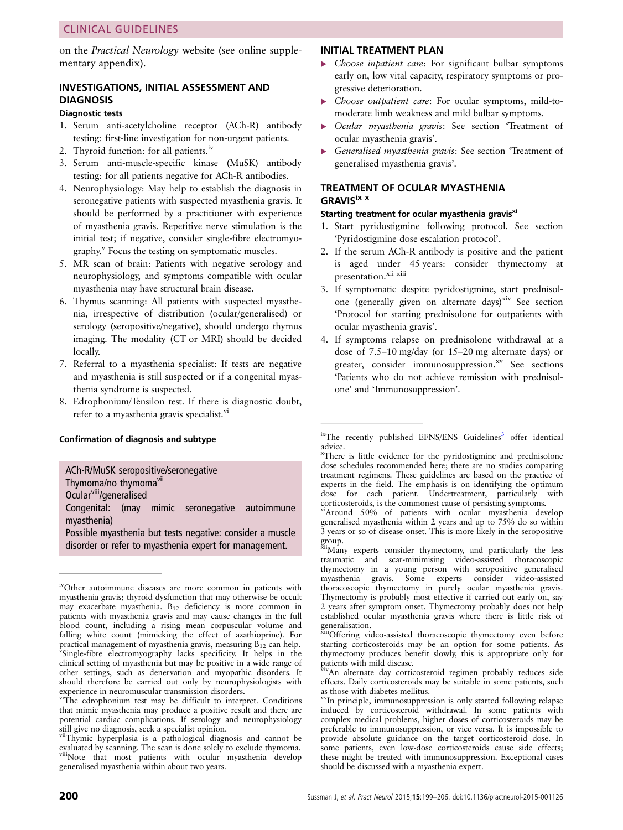on the Practical Neurology website (see online supplementary appendix).

# INVESTIGATIONS, INITIAL ASSESSMENT AND **DIAGNOSIS**

## Diagnostic tests

- 1. Serum anti-acetylcholine receptor (ACh-R) antibody testing: first-line investigation for non-urgent patients.
- 2. Thyroid function: for all patients.<sup>iv</sup>
- 3. Serum anti-muscle-specific kinase (MuSK) antibody testing: for all patients negative for ACh-R antibodies.
- 4. Neurophysiology: May help to establish the diagnosis in seronegative patients with suspected myasthenia gravis. It should be performed by a practitioner with experience of myasthenia gravis. Repetitive nerve stimulation is the initial test; if negative, consider single-fibre electromyography.<sup>v</sup> Focus the testing on symptomatic muscles.
- 5. MR scan of brain: Patients with negative serology and neurophysiology, and symptoms compatible with ocular myasthenia may have structural brain disease.
- 6. Thymus scanning: All patients with suspected myasthenia, irrespective of distribution (ocular/generalised) or serology (seropositive/negative), should undergo thymus imaging. The modality (CT or MRI) should be decided locally.
- 7. Referral to a myasthenia specialist: If tests are negative and myasthenia is still suspected or if a congenital myasthenia syndrome is suspected.
- 8. Edrophonium/Tensilon test. If there is diagnostic doubt, refer to a myasthenia gravis specialist.<sup>vi</sup>

# Confirmation of diagnosis and subtype

ACh-R/MuSK seropositive/seronegative Thymoma/no thymomavii Ocularviii/generalised Congenital: (may mimic seronegative autoimmune myasthenia) Possible myasthenia but tests negative: consider a muscle disorder or refer to myasthenia expert for management.

## INITIAL TREATMENT PLAN

- Choose inpatient care: For significant bulbar symptoms early on, low vital capacity, respiratory symptoms or progressive deterioration.
- ▸ Choose outpatient care: For ocular symptoms, mild-tomoderate limb weakness and mild bulbar symptoms.
- Ocular myasthenia gravis: See section 'Treatment of ocular myasthenia gravis'.
- Generalised myasthenia gravis: See section 'Treatment of generalised myasthenia gravis'.

# TREATMENT OF OCULAR MYASTHENIA GRAVIS<sup>ix x</sup>

#### Starting treatment for ocular myasthenia gravis<sup>xi</sup>

- 1. Start pyridostigmine following protocol. See section 'Pyridostigmine dose escalation protocol'.
- 2. If the serum ACh-R antibody is positive and the patient is aged under 45 years: consider thymectomy at presentation.<sup>xii xiii</sup>
- 3. If symptomatic despite pyridostigmine, start prednisolone (generally given on alternate days) $x<sup>iv</sup>$  See section 'Protocol for starting prednisolone for outpatients with ocular myasthenia gravis'.
- 4. If symptoms relapse on prednisolone withdrawal at a dose of 7.5–10 mg/day (or 15–20 mg alternate days) or greater, consider immunosuppression.<sup>xv</sup> See sections 'Patients who do not achieve remission with prednisolone' and 'Immunosuppression'.

ivOther autoimmune diseases are more common in patients with myasthenia gravis; thyroid dysfunction that may otherwise be occult may exacerbate myasthenia. B12 deficiency is more common in patients with myasthenia gravis and may cause changes in the full blood count, including a rising mean corpuscular volume and falling white count (mimicking the effect of azathioprine). For practical management of myasthenia gravis, measuring  $B_{12}$  can help. Single-fibre electromyography lacks specificity. It helps in the clinical setting of myasthenia but may be positive in a wide range of other settings, such as denervation and myopathic disorders. It should therefore be carried out only by neurophysiologists with experience in neuromuscular transmission disorders.

viThe edrophonium test may be difficult to interpret. Conditions that mimic myasthenia may produce a positive result and there are potential cardiac complications. If serology and neurophysiology

still give no diagnosis, seek a specialist opinion. viiThymic hyperplasia is a pathological diagnosis and cannot be evaluated by scanning. The scan is done solely to exclude thymoma.<br><sup>viii</sup>Note that most patients with ocular myasthenia develop generalised myasthenia within about two years.

ixThe recently published EFNS/ENS Guidelines<sup>3</sup> offer identical advice.

x There is little evidence for the pyridostigmine and prednisolone dose schedules recommended here; there are no studies comparing treatment regimens. These guidelines are based on the practice of experts in the field. The emphasis is on identifying the optimum dose for each patient. Undertreatment, particularly with corticosteroids, is the commonest cause of persisting symptoms.

xiAround 50% of patients with ocular myasthenia develop generalised myasthenia within 2 years and up to 75% do so within 3 years or so of disease onset. This is more likely in the seropositive group.

<sup>&</sup>lt;sup>xii</sup>Many experts consider thymectomy, and particularly the less traumatic and scar-minimising video-assisted thoracoscopic thymectomy in a young person with seropositive generalised myasthenia gravis. Some experts consider video-assisted thoracoscopic thymectomy in purely ocular myasthenia gravis. Thymectomy is probably most effective if carried out early on, say 2 years after symptom onset. Thymectomy probably does not help established ocular myasthenia gravis where there is little risk of generalisation.<br><sup>xiii</sup>Offering video-assisted thoracoscopic thymectomy even before

starting corticosteroids may be an option for some patients. As thymectomy produces benefit slowly, this is appropriate only for patients with mild disease. xivAn alternate day corticosteroid regimen probably reduces side

effects. Daily corticosteroids may be suitable in some patients, such as those with diabetes mellitus.

xvIn principle, immunosuppression is only started following relapse induced by corticosteroid withdrawal. In some patients with complex medical problems, higher doses of corticosteroids may be preferable to immunosuppression, or vice versa. It is impossible to provide absolute guidance on the target corticosteroid dose. In some patients, even low-dose corticosteroids cause side effects; these might be treated with immunosuppression. Exceptional cases should be discussed with a myasthenia expert.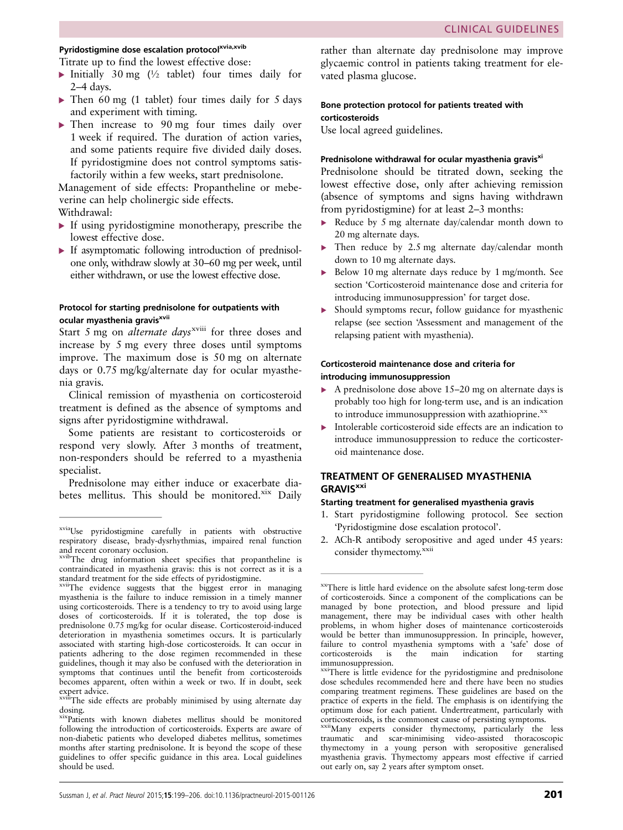#### Pyridostigmine dose escalation protocol<sup>xvia, xvib</sup>

Titrate up to find the lowest effective dose:

- $\blacktriangleright$  Initially 30 mg ( $\frac{1}{2}$  tablet) four times daily for 2–4 days.
- $\blacktriangleright$  Then 60 mg (1 tablet) four times daily for 5 days and experiment with timing.
- ▶ Then increase to 90 mg four times daily over 1 week if required. The duration of action varies, and some patients require five divided daily doses. If pyridostigmine does not control symptoms satisfactorily within a few weeks, start prednisolone.

Management of side effects: Propantheline or mebeverine can help cholinergic side effects.

Withdrawal:

- $\triangleright$  If using pyridostigmine monotherapy, prescribe the lowest effective dose.
- ▸ If asymptomatic following introduction of prednisolone only, withdraw slowly at 30–60 mg per week, until either withdrawn, or use the lowest effective dose.

#### Protocol for starting prednisolone for outpatients with ocular myasthenia gravis<sup>xvii</sup>

Start 5 mg on *alternate*  $days^{xviii}$  for three doses and increase by 5 mg every three doses until symptoms improve. The maximum dose is 50 mg on alternate days or 0.75 mg/kg/alternate day for ocular myasthenia gravis.

Clinical remission of myasthenia on corticosteroid treatment is defined as the absence of symptoms and signs after pyridostigmine withdrawal.

Some patients are resistant to corticosteroids or respond very slowly. After 3 months of treatment, non-responders should be referred to a myasthenia specialist.

Prednisolone may either induce or exacerbate diabetes mellitus. This should be monitored.<sup>xix</sup> Daily

rather than alternate day prednisolone may improve glycaemic control in patients taking treatment for elevated plasma glucose.

#### Bone protection protocol for patients treated with corticosteroids

Use local agreed guidelines.

## Prednisolone withdrawal for ocular myasthenia gravis<sup>xi</sup>

Prednisolone should be titrated down, seeking the lowest effective dose, only after achieving remission (absence of symptoms and signs having withdrawn from pyridostigmine) for at least 2–3 months:

- Reduce by 5 mg alternate day/calendar month down to 20 mg alternate days.
- ▸ Then reduce by 2.5 mg alternate day/calendar month down to 10 mg alternate days.
- Below 10 mg alternate days reduce by 1 mg/month. See section 'Corticosteroid maintenance dose and criteria for introducing immunosuppression' for target dose.
- ▸ Should symptoms recur, follow guidance for myasthenic relapse (see section 'Assessment and management of the relapsing patient with myasthenia).

## Corticosteroid maintenance dose and criteria for introducing immunosuppression

- ▸ A prednisolone dose above 15–20 mg on alternate days is probably too high for long-term use, and is an indication to introduce immunosuppression with azathioprine.<sup>xx</sup>
- ▸ Intolerable corticosteroid side effects are an indication to introduce immunosuppression to reduce the corticosteroid maintenance dose.

# TREATMENT OF GENERALISED MYASTHENIA GRAVIS<sup>xxi</sup>

#### Starting treatment for generalised myasthenia gravis

- 1. Start pyridostigmine following protocol. See section 'Pyridostigmine dose escalation protocol'.
- 2. ACh-R antibody seropositive and aged under 45 years: consider thymectomy.<sup>xxii</sup>

xviaUse pyridostigmine carefully in patients with obstructive respiratory disease, brady-dysrhythmias, impaired renal function and recent coronary occlusion.

xvibThe drug information sheet specifies that propantheline is contraindicated in myasthenia gravis: this is not correct as it is a standard treatment for the side effects of pyridostigmine.

xviiThe evidence suggests that the biggest error in managing myasthenia is the failure to induce remission in a timely manner using corticosteroids. There is a tendency to try to avoid using large doses of corticosteroids. If it is tolerated, the top dose is prednisolone 0.75 mg/kg for ocular disease. Corticosteroid-induced deterioration in myasthenia sometimes occurs. It is particularly associated with starting high-dose corticosteroids. It can occur in patients adhering to the dose regimen recommended in these guidelines, though it may also be confused with the deterioration in symptoms that continues until the benefit from corticosteroids becomes apparent, often within a week or two. If in doubt, seek

expert advice.<br><sup>xviir</sup>The side effects are probably minimised by using alternate day dosing.

xixPatients with known diabetes mellitus should be monitored following the introduction of corticosteroids. Experts are aware of non-diabetic patients who developed diabetes mellitus, sometimes months after starting prednisolone. It is beyond the scope of these guidelines to offer specific guidance in this area. Local guidelines should be used.

xxThere is little hard evidence on the absolute safest long-term dose of corticosteroids. Since a component of the complications can be managed by bone protection, and blood pressure and lipid management, there may be individual cases with other health problems, in whom higher doses of maintenance corticosteroids would be better than immunosuppression. In principle, however, failure to control myasthenia symptoms with a 'safe' dose of corticosteroids is the main indication for starting immunosuppression.

xxiThere is little evidence for the pyridostigmine and prednisolone dose schedules recommended here and there have been no studies comparing treatment regimens. These guidelines are based on the practice of experts in the field. The emphasis is on identifying the optimum dose for each patient. Undertreatment, particularly with corticosteroids, is the commonest cause of persisting symptoms.

xxiiMany experts consider thymectomy, particularly the less traumatic and scar-minimising video-assisted thoracoscopic thymectomy in a young person with seropositive generalised myasthenia gravis. Thymectomy appears most effective if carried out early on, say 2 years after symptom onset.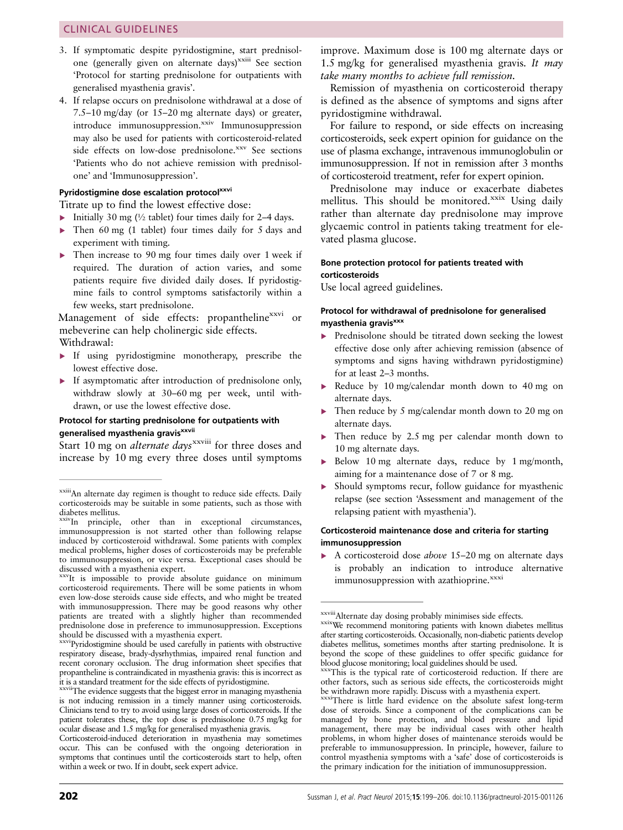# CLINICAL GUIDELINES

- 3. If symptomatic despite pyridostigmine, start prednisolone (generally given on alternate days)<sup>xxiii</sup> See section 'Protocol for starting prednisolone for outpatients with generalised myasthenia gravis'.
- 4. If relapse occurs on prednisolone withdrawal at a dose of 7.5–10 mg/day (or 15–20 mg alternate days) or greater, introduce immunosuppression.<sup>xxiv</sup> Immunosuppression may also be used for patients with corticosteroid-related side effects on low-dose prednisolone.xxv See sections 'Patients who do not achieve remission with prednisolone' and 'Immunosuppression'.

## Pyridostigmine dose escalation protocol<sup>xxvi</sup>

Titrate up to find the lowest effective dose:

- ightharpoontring in Initially 30 mg ( $\frac{1}{2}$  tablet) four times daily for 2–4 days.
- ▸ Then 60 mg (1 tablet) four times daily for 5 days and experiment with timing.
- ▶ Then increase to 90 mg four times daily over 1 week if required. The duration of action varies, and some patients require five divided daily doses. If pyridostigmine fails to control symptoms satisfactorily within a few weeks, start prednisolone.

Management of side effects: propantheline<sup>xxvi</sup> or mebeverine can help cholinergic side effects. Withdrawal:

- ▸ If using pyridostigmine monotherapy, prescribe the lowest effective dose.
- ▸ If asymptomatic after introduction of prednisolone only, withdraw slowly at 30–60 mg per week, until withdrawn, or use the lowest effective dose.

## Protocol for starting prednisolone for outpatients with generalised myasthenia gravis<sup>xxvii</sup>

Start 10 mg on *alternate days*<sup>xxviii</sup> for three doses and increase by 10 mg every three doses until symptoms

improve. Maximum dose is 100 mg alternate days or 1.5 mg/kg for generalised myasthenia gravis. It may take many months to achieve full remission.

Remission of myasthenia on corticosteroid therapy is defined as the absence of symptoms and signs after pyridostigmine withdrawal.

For failure to respond, or side effects on increasing corticosteroids, seek expert opinion for guidance on the use of plasma exchange, intravenous immunoglobulin or immunosuppression. If not in remission after 3 months of corticosteroid treatment, refer for expert opinion.

Prednisolone may induce or exacerbate diabetes mellitus. This should be monitored.<sup>xxix</sup> Using daily rather than alternate day prednisolone may improve glycaemic control in patients taking treatment for elevated plasma glucose.

## Bone protection protocol for patients treated with corticosteroids

Use local agreed guidelines.

#### Protocol for withdrawal of prednisolone for generalised myasthenia gravis<sup>xxx</sup>

- ▸ Prednisolone should be titrated down seeking the lowest effective dose only after achieving remission (absence of symptoms and signs having withdrawn pyridostigmine) for at least 2–3 months.
- Reduce by 10 mg/calendar month down to 40 mg on alternate days.
- Then reduce by 5 mg/calendar month down to 20 mg on alternate days.
- ▸ Then reduce by 2.5 mg per calendar month down to 10 mg alternate days.
- Below 10 mg alternate days, reduce by 1 mg/month, aiming for a maintenance dose of 7 or 8 mg.
- ▸ Should symptoms recur, follow guidance for myasthenic relapse (see section 'Assessment and management of the relapsing patient with myasthenia').

## Corticosteroid maintenance dose and criteria for starting immunosuppression

A corticosteroid dose *above* 15–20 mg on alternate days is probably an indication to introduce alternative immunosuppression with azathioprine.<sup>xxxi</sup>

xxiiiAn alternate day regimen is thought to reduce side effects. Daily corticosteroids may be suitable in some patients, such as those with diabetes mellitus.

xxivIn principle, other than in exceptional circumstances, immunosuppression is not started other than following relapse induced by corticosteroid withdrawal. Some patients with complex medical problems, higher doses of corticosteroids may be preferable to immunosuppression, or vice versa. Exceptional cases should be discussed with a myasthenia expert.

xxvIt is impossible to provide absolute guidance on minimum corticosteroid requirements. There will be some patients in whom even low-dose steroids cause side effects, and who might be treated with immunosuppression. There may be good reasons why other patients are treated with a slightly higher than recommended prednisolone dose in preference to immunosuppression. Exceptions should be discussed with a myasthenia expert.

*xxvi*Pyridostigmine should be used carefully in patients with obstructive respiratory disease, brady-dysrhythmias, impaired renal function and recent coronary occlusion. The drug information sheet specifies that propantheline is contraindicated in myasthenia gravis: this is incorrect as it is a standard treatment for the side effects of pyridostigmine. xxviiThe evidence suggests that the biggest error in managing myasthenia

is not inducing remission in a timely manner using corticosteroids. Clinicians tend to try to avoid using large doses of corticosteroids. If the patient tolerates these, the top dose is prednisolone 0.75 mg/kg for ocular disease and 1.5 mg/kg for generalised myasthenia gravis.

Corticosteroid-induced deterioration in myasthenia may sometimes occur. This can be confused with the ongoing deterioration in symptoms that continues until the corticosteroids start to help, often within a week or two. If in doubt, seek expert advice.

xxviiiAlternate day dosing probably minimises side effects.<br>xxixWe recommend monitoring patients with known diabetes mellitus

after starting corticosteroids. Occasionally, non-diabetic patients develop diabetes mellitus, sometimes months after starting prednisolone. It is beyond the scope of these guidelines to offer specific guidance for blood glucose monitoring; local guidelines should be used.

xxxThis is the typical rate of corticosteroid reduction. If there are other factors, such as serious side effects, the corticosteroids might be withdrawn more rapidly. Discuss with a myasthenia expert.

xxxiThere is little hard evidence on the absolute safest long-term dose of steroids. Since a component of the complications can be managed by bone protection, and blood pressure and lipid management, there may be individual cases with other health problems, in whom higher doses of maintenance steroids would be preferable to immunosuppression. In principle, however, failure to control myasthenia symptoms with a 'safe' dose of corticosteroids is the primary indication for the initiation of immunosuppression.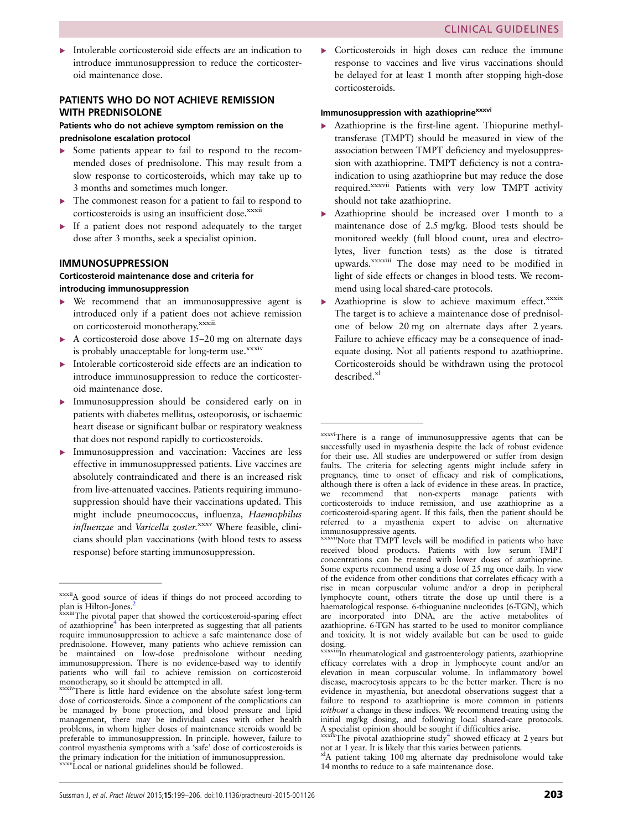▸ Intolerable corticosteroid side effects are an indication to introduce immunosuppression to reduce the corticosteroid maintenance dose.

# PATIENTS WHO DO NOT ACHIEVE REMISSION WITH PREDNISOLONE

### Patients who do not achieve symptom remission on the prednisolone escalation protocol

- ▸ Some patients appear to fail to respond to the recommended doses of prednisolone. This may result from a slow response to corticosteroids, which may take up to 3 months and sometimes much longer.
- ▸ The commonest reason for a patient to fail to respond to corticosteroids is using an insufficient dose.<sup>xxxii</sup>
- ▸ If a patient does not respond adequately to the target dose after 3 months, seek a specialist opinion.

#### IMMUNOSUPPRESSION

#### Corticosteroid maintenance dose and criteria for introducing immunosuppression

- ▸ We recommend that an immunosuppressive agent is introduced only if a patient does not achieve remission on corticosteroid monotherapy.xxxiii
- ▸ A corticosteroid dose above 15–20 mg on alternate days is probably unacceptable for long-term use.<sup>xxxiv</sup>
- ▸ Intolerable corticosteroid side effects are an indication to introduce immunosuppression to reduce the corticosteroid maintenance dose.
- ▸ Immunosuppression should be considered early on in patients with diabetes mellitus, osteoporosis, or ischaemic heart disease or significant bulbar or respiratory weakness that does not respond rapidly to corticosteroids.
- Immunosuppression and vaccination: Vaccines are less effective in immunosuppressed patients. Live vaccines are absolutely contraindicated and there is an increased risk from live-attenuated vaccines. Patients requiring immunosuppression should have their vaccinations updated. This might include pneumococcus, influenza, Haemophilus influenzae and Varicella zoster. XXXV Where feasible, clinicians should plan vaccinations (with blood tests to assess response) before starting immunosuppression.

▶ Corticosteroids in high doses can reduce the immune response to vaccines and live virus vaccinations should be delayed for at least 1 month after stopping high-dose corticosteroids.

## Immunosuppression with azathioprine<sup>xxxvi</sup>

- ▶ Azathioprine is the first-line agent. Thiopurine methyltransferase (TMPT) should be measured in view of the association between TMPT deficiency and myelosuppression with azathioprine. TMPT deficiency is not a contraindication to using azathioprine but may reduce the dose required.<sup>xxxvii</sup> Patients with very low TMPT activity should not take azathioprine.
- ▸ Azathioprine should be increased over 1 month to a maintenance dose of 2.5 mg/kg. Blood tests should be monitored weekly (full blood count, urea and electrolytes, liver function tests) as the dose is titrated upwards.xxxviii The dose may need to be modified in light of side effects or changes in blood tests. We recommend using local shared-care protocols.
- Azathioprine is slow to achieve maximum effect.xxxix The target is to achieve a maintenance dose of prednisolone of below 20 mg on alternate days after 2 years. Failure to achieve efficacy may be a consequence of inadequate dosing. Not all patients respond to azathioprine. Corticosteroids should be withdrawn using the protocol described.<sup>xl</sup>

xxxiiA good source of ideas if things do not proceed according to plan is Hilton-Jones.<sup>[2](#page-7-0)</sup>

iiiThe pivotal paper that showed the corticosteroid-sparing effect of azathioprine<sup>[4](#page-7-0)</sup> has been interpreted as suggesting that all patients require immunosuppression to achieve a safe maintenance dose of prednisolone. However, many patients who achieve remission can be maintained on low-dose prednisolone without needing immunosuppression. There is no evidence-based way to identify patients who will fail to achieve remission on corticosteroid monotherapy, so it should be attempted in all. xxxivThere is little hard evidence on the absolute safest long-term

dose of corticosteroids. Since a component of the complications can be managed by bone protection, and blood pressure and lipid management, there may be individual cases with other health problems, in whom higher doses of maintenance steroids would be preferable to immunosuppression. In principle. however, failure to control myasthenia symptoms with a 'safe' dose of corticosteroids is the primary indication for the initiation of immunosuppression. xxxvLocal or national guidelines should be followed.

xxxviThere is a range of immunosuppressive agents that can be successfully used in myasthenia despite the lack of robust evidence for their use. All studies are underpowered or suffer from design faults. The criteria for selecting agents might include safety in pregnancy, time to onset of efficacy and risk of complications, although there is often a lack of evidence in these areas. In practice, we recommend that non-experts manage patients with corticosteroids to induce remission, and use azathioprine as a corticosteroid-sparing agent. If this fails, then the patient should be referred to a myasthenia expert to advise on alternative immunosuppressive agents.

xxxviiNote that TMPT levels will be modified in patients who have received blood products. Patients with low serum TMPT concentrations can be treated with lower doses of azathioprine. Some experts recommend using a dose of 25 mg once daily. In view of the evidence from other conditions that correlates efficacy with a rise in mean corpuscular volume and/or a drop in peripheral lymphocyte count, others titrate the dose up until there is a haematological response. 6-thioguanine nucleotides (6-TGN), which are incorporated into DNA, are the active metabolites of azathioprine. 6-TGN has started to be used to monitor compliance and toxicity. It is not widely available but can be used to guide dosing.

xxxviiiIn rheumatological and gastroenterology patients, azathioprine efficacy correlates with a drop in lymphocyte count and/or an elevation in mean corpuscular volume. In inflammatory bowel disease, macrocytosis appears to be the better marker. There is no evidence in myasthenia, but anecdotal observations suggest that a failure to respond to azathioprine is more common in patients without a change in these indices. We recommend treating using the initial mg/kg dosing, and following local shared-care protocols. A specialist opinion should be sought if difficulties arise.<br><sup>xxxix</sup>The pivotal azathioprine study<sup>4</sup> showed efficacy at 2 years but

not at 1 year. It is likely that this varies between patients.

xlA patient taking 100 mg alternate day prednisolone would take 14 months to reduce to a safe maintenance dose.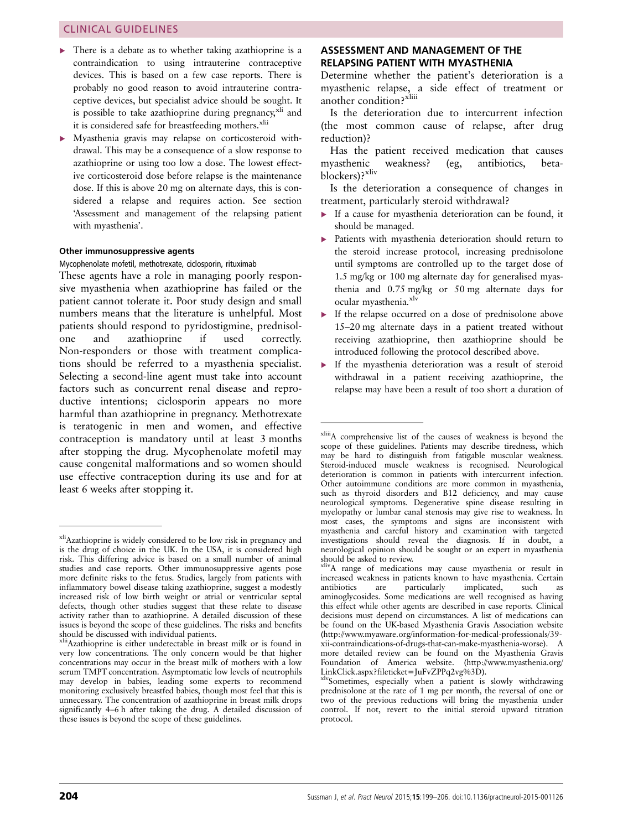# CLINICAL GUIDELINES

- ▸ There is a debate as to whether taking azathioprine is a contraindication to using intrauterine contraceptive devices. This is based on a few case reports. There is probably no good reason to avoid intrauterine contraceptive devices, but specialist advice should be sought. It is possible to take azathioprine during pregnancy,<sup>xli</sup> and it is considered safe for breastfeeding mothers.<sup>xlii</sup>
- ▸ Myasthenia gravis may relapse on corticosteroid withdrawal. This may be a consequence of a slow response to azathioprine or using too low a dose. The lowest effective corticosteroid dose before relapse is the maintenance dose. If this is above 20 mg on alternate days, this is considered a relapse and requires action. See section 'Assessment and management of the relapsing patient with myasthenia'.

#### Other immunosuppressive agents

#### Mycophenolate mofetil, methotrexate, ciclosporin, rituximab

These agents have a role in managing poorly responsive myasthenia when azathioprine has failed or the patient cannot tolerate it. Poor study design and small numbers means that the literature is unhelpful. Most patients should respond to pyridostigmine, prednisolone and azathioprine if used correctly. Non-responders or those with treatment complications should be referred to a myasthenia specialist. Selecting a second-line agent must take into account factors such as concurrent renal disease and reproductive intentions; ciclosporin appears no more harmful than azathioprine in pregnancy. Methotrexate is teratogenic in men and women, and effective contraception is mandatory until at least 3 months after stopping the drug. Mycophenolate mofetil may cause congenital malformations and so women should use effective contraception during its use and for at least 6 weeks after stopping it.

# ASSESSMENT AND MANAGEMENT OF THE RELAPSING PATIENT WITH MYASTHENIA

Determine whether the patient's deterioration is a myasthenic relapse, a side effect of treatment or another condition?x<sup>iliii</sup>

Is the deterioration due to intercurrent infection (the most common cause of relapse, after drug reduction)?

Has the patient received medication that causes myasthenic weakness? (eg, antibiotics, betablockers)?xliv

Is the deterioration a consequence of changes in treatment, particularly steroid withdrawal?

- ▸ If a cause for myasthenia deterioration can be found, it should be managed.
- ▸ Patients with myasthenia deterioration should return to the steroid increase protocol, increasing prednisolone until symptoms are controlled up to the target dose of 1.5 mg/kg or 100 mg alternate day for generalised myasthenia and 0.75 mg/kg or 50 mg alternate days for ocular myasthenia.<sup>xlv</sup>
- ▸ If the relapse occurred on a dose of prednisolone above 15–20 mg alternate days in a patient treated without receiving azathioprine, then azathioprine should be introduced following the protocol described above.
- ▸ If the myasthenia deterioration was a result of steroid withdrawal in a patient receiving azathioprine, the relapse may have been a result of too short a duration of

xliAzathioprine is widely considered to be low risk in pregnancy and is the drug of choice in the UK. In the USA, it is considered high risk. This differing advice is based on a small number of animal studies and case reports. Other immunosuppressive agents pose more definite risks to the fetus. Studies, largely from patients with inflammatory bowel disease taking azathioprine, suggest a modestly increased risk of low birth weight or atrial or ventricular septal defects, though other studies suggest that these relate to disease activity rather than to azathioprine. A detailed discussion of these issues is beyond the scope of these guidelines. The risks and benefits should be discussed with individual patients.

xliiAzathioprine is either undetectable in breast milk or is found in very low concentrations. The only concern would be that higher concentrations may occur in the breast milk of mothers with a low serum TMPT concentration. Asymptomatic low levels of neutrophils may develop in babies, leading some experts to recommend monitoring exclusively breastfed babies, though most feel that this is unnecessary. The concentration of azathioprine in breast milk drops significantly 4–6 h after taking the drug. A detailed discussion of these issues is beyond the scope of these guidelines.

xliiiA comprehensive list of the causes of weakness is beyond the scope of these guidelines. Patients may describe tiredness, which may be hard to distinguish from fatigable muscular weakness. Steroid-induced muscle weakness is recognised. Neurological deterioration is common in patients with intercurrent infection. Other autoimmune conditions are more common in myasthenia, such as thyroid disorders and B12 deficiency, and may cause neurological symptoms. Degenerative spine disease resulting in myelopathy or lumbar canal stenosis may give rise to weakness. In most cases, the symptoms and signs are inconsistent with myasthenia and careful history and examination with targeted investigations should reveal the diagnosis. If in doubt, a neurological opinion should be sought or an expert in myasthenia should be asked to review.

xlivA range of medications may cause myasthenia or result in increased weakness in patients known to have myasthenia. Certain<br>antibiotics are particularly implicated, such as particularly implicated, such as aminoglycosides. Some medications are well recognised as having this effect while other agents are described in case reports. Clinical decisions must depend on circumstances. A list of medications can be found on the UK-based Myasthenia Gravis Association website [\(http://www.myaware.org/information-for-medical-professionals/39](http://www.myaware.org/information-for-medical-professionals/39-xii-contraindications-of-drugs-that-can-make-myasthenia-worse) [xii-contraindications-of-drugs-that-can-make-myasthenia-worse](http://www.myaware.org/information-for-medical-professionals/39-xii-contraindications-of-drugs-that-can-make-myasthenia-worse)). A more detailed review can be found on the Myasthenia Gravis Foundation of America website. [\(http://www.myasthenia.org/](http://www.myasthenia.org/LinkClick.aspx?fileticket=JuFvZPPq2vg%3D) [LinkClick.aspx?fileticket=JuFvZPPq2vg%3D\)](http://www.myasthenia.org/LinkClick.aspx?fileticket=JuFvZPPq2vg%3D).

xlvSometimes, especially when a patient is slowly withdrawing prednisolone at the rate of 1 mg per month, the reversal of one or two of the previous reductions will bring the myasthenia under control. If not, revert to the initial steroid upward titration protocol.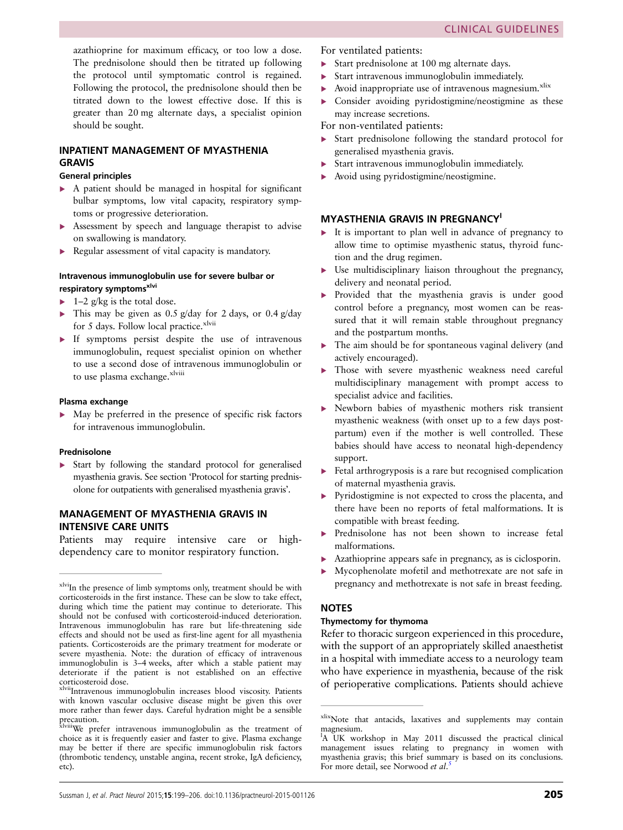azathioprine for maximum efficacy, or too low a dose. The prednisolone should then be titrated up following the protocol until symptomatic control is regained. Following the protocol, the prednisolone should then be titrated down to the lowest effective dose. If this is greater than 20 mg alternate days, a specialist opinion should be sought.

# INPATIENT MANAGEMENT OF MYASTHENIA GRAVIS

### General principles

- ▸ A patient should be managed in hospital for significant bulbar symptoms, low vital capacity, respiratory symptoms or progressive deterioration.
- ▸ Assessment by speech and language therapist to advise on swallowing is mandatory.
- Regular assessment of vital capacity is mandatory.

## Intravenous immunoglobulin use for severe bulbar or respiratory symptoms<sup>xlvi</sup>

- $\blacktriangleright$  1–2 g/kg is the total dose.
- $\triangleright$  This may be given as 0.5 g/day for 2 days, or 0.4 g/day for 5 days. Follow local practice.<sup>xlvii</sup>
- ▸ If symptoms persist despite the use of intravenous immunoglobulin, request specialist opinion on whether to use a second dose of intravenous immunoglobulin or to use plasma exchange.<sup>xlviii</sup>

#### Plasma exchange

▸ May be preferred in the presence of specific risk factors for intravenous immunoglobulin.

#### Prednisolone

▶ Start by following the standard protocol for generalised myasthenia gravis. See section 'Protocol for starting prednisolone for outpatients with generalised myasthenia gravis'.

#### MANAGEMENT OF MYASTHENIA GRAVIS IN INTENSIVE CARE UNITS

Patients may require intensive care or highdependency care to monitor respiratory function.

For ventilated patients:

- ▸ Start prednisolone at 100 mg alternate days.
- Start intravenous immunoglobulin immediately.
- Avoid inappropriate use of intravenous magnesium.<sup>xlix</sup>
- Consider avoiding pyridostigmine/neostigmine as these may increase secretions.

For non-ventilated patients:

- ▸ Start prednisolone following the standard protocol for generalised myasthenia gravis.
- Start intravenous immunoglobulin immediately.
- ▸ Avoid using pyridostigmine/neostigmine.

## MYASTHENIA GRAVIS IN PREGNANCY<sup>l</sup>

- ▸ It is important to plan well in advance of pregnancy to allow time to optimise myasthenic status, thyroid function and the drug regimen.
- $\triangleright$  Use multidisciplinary liaison throughout the pregnancy, delivery and neonatal period.
- ▸ Provided that the myasthenia gravis is under good control before a pregnancy, most women can be reassured that it will remain stable throughout pregnancy and the postpartum months.
- ▸ The aim should be for spontaneous vaginal delivery (and actively encouraged).
- Those with severe myasthenic weakness need careful multidisciplinary management with prompt access to specialist advice and facilities.
- Newborn babies of myasthenic mothers risk transient myasthenic weakness (with onset up to a few days postpartum) even if the mother is well controlled. These babies should have access to neonatal high-dependency support.
- Fetal arthrogryposis is a rare but recognised complication of maternal myasthenia gravis.
- Pyridostigmine is not expected to cross the placenta, and there have been no reports of fetal malformations. It is compatible with breast feeding.
- Prednisolone has not been shown to increase fetal malformations.
- Azathioprine appears safe in pregnancy, as is ciclosporin.
- ▸ Mycophenolate mofetil and methotrexate are not safe in pregnancy and methotrexate is not safe in breast feeding.

# **NOTES**

#### Thymectomy for thymoma

Refer to thoracic surgeon experienced in this procedure, with the support of an appropriately skilled anaesthetist in a hospital with immediate access to a neurology team who have experience in myasthenia, because of the risk of perioperative complications. Patients should achieve

xlviIn the presence of limb symptoms only, treatment should be with corticosteroids in the first instance. These can be slow to take effect, during which time the patient may continue to deteriorate. This should not be confused with corticosteroid-induced deterioration. Intravenous immunoglobulin has rare but life-threatening side effects and should not be used as first-line agent for all myasthenia patients. Corticosteroids are the primary treatment for moderate or severe myasthenia. Note: the duration of efficacy of intravenous immunoglobulin is 3–4 weeks, after which a stable patient may deteriorate if the patient is not established on an effective

corticosteroid dose.<br><sup>xlvii</sup>Intravenous immunoglobulin increases blood viscosity. Patients with known vascular occlusive disease might be given this over more rather than fewer days. Careful hydration might be a sensible precaution. xlviiiWe prefer intravenous immunoglobulin as the treatment of

choice as it is frequently easier and faster to give. Plasma exchange may be better if there are specific immunoglobulin risk factors (thrombotic tendency, unstable angina, recent stroke, IgA deficiency, etc).

xlixNote that antacids, laxatives and supplements may contain magnesium.

<sup>&</sup>lt;sup>1</sup>A UK workshop in May 2011 discussed the practical clinical management issues relating to pregnancy in women with myasthenia gravis; this brief summary is based on its conclusions. For more detail, see Norwood et al.<sup>[5](#page-7-0)</sup>